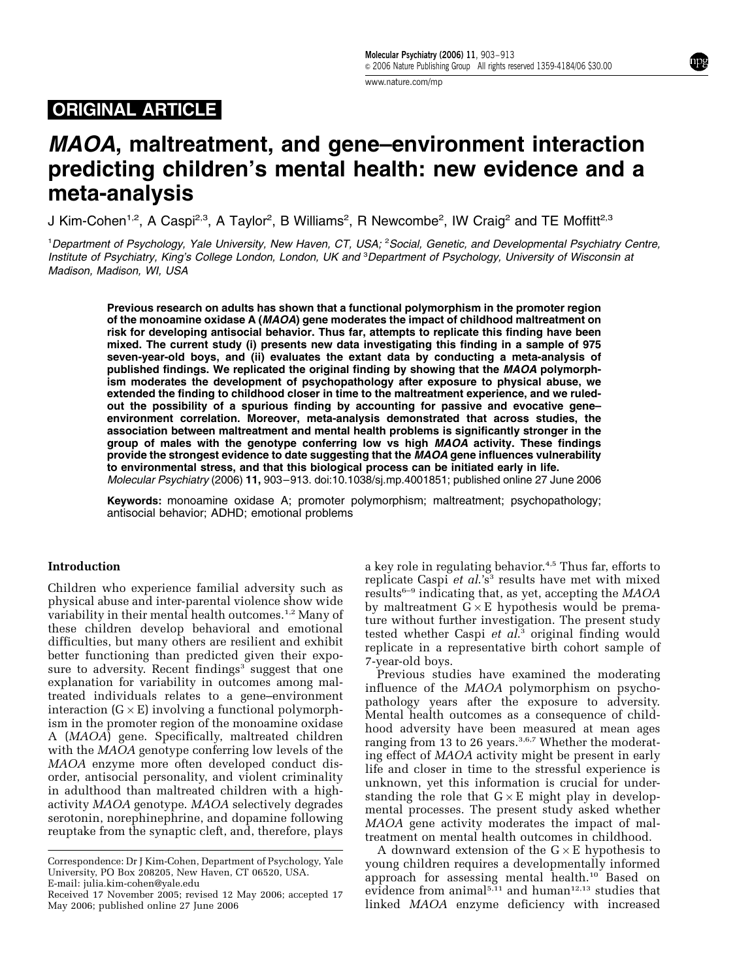www.nature.com/mp

# ORIGINAL ARTICLE

# MAOA, maltreatment, and gene–environment interaction predicting children's mental health: new evidence and a meta-analysis

J Kim-Cohen<sup>1,2</sup>, A Caspi<sup>2,3</sup>, A Taylor<sup>2</sup>, B Williams<sup>2</sup>, R Newcombe<sup>2</sup>, IW Craig<sup>2</sup> and TE Moffitt<sup>2,3</sup>

<sup>1</sup>Department of Psychology, Yale University, New Haven, CT, USA; <sup>2</sup>Social, Genetic, and Developmental Psychiatry Centre, Institute of Psychiatry, King's College London, London, UK and <sup>3</sup>Department of Psychology, University of Wisconsin at Madison, Madison, WI, USA

Previous research on adults has shown that a functional polymorphism in the promoter region of the monoamine oxidase A (MAOA) gene moderates the impact of childhood maltreatment on risk for developing antisocial behavior. Thus far, attempts to replicate this finding have been mixed. The current study (i) presents new data investigating this finding in a sample of 975 seven-year-old boys, and (ii) evaluates the extant data by conducting a meta-analysis of published findings. We replicated the original finding by showing that the MAOA polymorphism moderates the development of psychopathology after exposure to physical abuse, we extended the finding to childhood closer in time to the maltreatment experience, and we ruledout the possibility of a spurious finding by accounting for passive and evocative gene– environment correlation. Moreover, meta-analysis demonstrated that across studies, the association between maltreatment and mental health problems is significantly stronger in the group of males with the genotype conferring low vs high MAOA activity. These findings provide the strongest evidence to date suggesting that the MAOA gene influences vulnerability to environmental stress, and that this biological process can be initiated early in life. Molecular Psychiatry (2006) 11, 903–913. doi:10.1038/sj.mp.4001851; published online 27 June 2006

Keywords: monoamine oxidase A; promoter polymorphism; maltreatment; psychopathology; antisocial behavior; ADHD; emotional problems

#### Introduction

Children who experience familial adversity such as physical abuse and inter-parental violence show wide variability in their mental health outcomes.<sup>1,2</sup> Many of these children develop behavioral and emotional difficulties, but many others are resilient and exhibit better functioning than predicted given their exposure to adversity. Recent findings<sup>3</sup> suggest that one explanation for variability in outcomes among maltreated individuals relates to a gene–environment interaction  $(G \times E)$  involving a functional polymorphism in the promoter region of the monoamine oxidase A (MAOA) gene. Specifically, maltreated children with the MAOA genotype conferring low levels of the MAOA enzyme more often developed conduct disorder, antisocial personality, and violent criminality in adulthood than maltreated children with a highactivity MAOA genotype. MAOA selectively degrades serotonin, norephinephrine, and dopamine following reuptake from the synaptic cleft, and, therefore, plays a key role in regulating behavior.<sup>4,5</sup> Thus far, efforts to replicate Caspi et  $al.\overline{s}$ <sup>3</sup> results have met with mixed results<sup>6–9</sup> indicating that, as yet, accepting the  $MAOA$ by maltreatment  $G \times E$  hypothesis would be premature without further investigation. The present study tested whether Caspi et al.<sup>3</sup> original finding would replicate in a representative birth cohort sample of 7-year-old boys.

Previous studies have examined the moderating influence of the MAOA polymorphism on psychopathology years after the exposure to adversity. Mental health outcomes as a consequence of childhood adversity have been measured at mean ages ranging from 13 to 26 years.<sup>3,6,7</sup> Whether the moderating effect of MAOA activity might be present in early life and closer in time to the stressful experience is unknown, yet this information is crucial for understanding the role that  $G \times E$  might play in developmental processes. The present study asked whether MAOA gene activity moderates the impact of maltreatment on mental health outcomes in childhood.

A downward extension of the  $G \times E$  hypothesis to young children requires a developmentally informed approach for assessing mental health.<sup>10</sup> Based on evidence from animal $5,11$  and human<sup>12,13</sup> studies that Received 17 November 2005; revised 12 May 2006; accepted 17 evidence from animal<sup>5,11</sup> and human<sup>12,13</sup> studies that <br>May 2006; published online 27 June 2006<br>linked *MAOA* enzyme deficiency with increased

Correspondence: Dr J Kim-Cohen, Department of Psychology, Yale University, PO Box 208205, New Haven, CT 06520, USA. E-mail: julia.kim-cohen@yale.edu

May 2006; published online 27 June 2006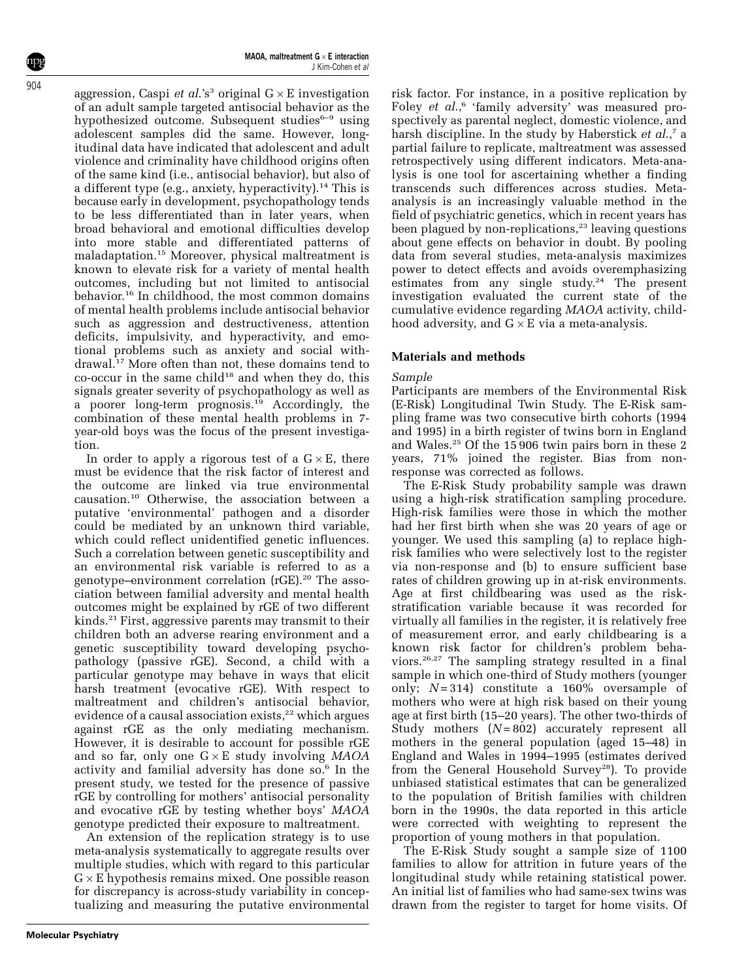aggression, Caspi et al.'s<sup>3</sup> original  $G \times E$  investigation of an adult sample targeted antisocial behavior as the hypothesized outcome. Subsequent studies $6-9$  using adolescent samples did the same. However, longitudinal data have indicated that adolescent and adult violence and criminality have childhood origins often of the same kind (i.e., antisocial behavior), but also of a different type (e.g., anxiety, hyperactivity).<sup>14</sup> This is because early in development, psychopathology tends to be less differentiated than in later years, when broad behavioral and emotional difficulties develop into more stable and differentiated patterns of maladaptation.<sup>15</sup> Moreover, physical maltreatment is known to elevate risk for a variety of mental health outcomes, including but not limited to antisocial behavior.16 In childhood, the most common domains of mental health problems include antisocial behavior such as aggression and destructiveness, attention deficits, impulsivity, and hyperactivity, and emotional problems such as anxiety and social withdrawal.<sup>17</sup> More often than not, these domains tend to  $co$ -occur in the same child<sup>18</sup> and when they do, this signals greater severity of psychopathology as well as a poorer long-term prognosis.19 Accordingly, the combination of these mental health problems in 7 year-old boys was the focus of the present investigation.

In order to apply a rigorous test of a  $G \times E$ , there must be evidence that the risk factor of interest and the outcome are linked via true environmental causation.<sup>10</sup> Otherwise, the association between a putative 'environmental' pathogen and a disorder could be mediated by an unknown third variable, which could reflect unidentified genetic influences. Such a correlation between genetic susceptibility and an environmental risk variable is referred to as a genotype–environment correlation  $(rGE)$ .<sup>20</sup> The association between familial adversity and mental health outcomes might be explained by rGE of two different kinds.<sup>21</sup> First, aggressive parents may transmit to their children both an adverse rearing environment and a genetic susceptibility toward developing psychopathology (passive rGE). Second, a child with a particular genotype may behave in ways that elicit harsh treatment (evocative rGE). With respect to maltreatment and children's antisocial behavior, evidence of a causal association exists,<sup>22</sup> which argues against rGE as the only mediating mechanism. However, it is desirable to account for possible rGE and so far, only one  $G \times E$  study involving MAOA activity and familial adversity has done so.<sup>6</sup> In the present study, we tested for the presence of passive rGE by controlling for mothers' antisocial personality and evocative rGE by testing whether boys' MAOA genotype predicted their exposure to maltreatment.

An extension of the replication strategy is to use meta-analysis systematically to aggregate results over multiple studies, which with regard to this particular  $G \times E$  hypothesis remains mixed. One possible reason for discrepancy is across-study variability in conceptualizing and measuring the putative environmental risk factor. For instance, in a positive replication by Foley et al.,<sup>6</sup> 'family adversity' was measured prospectively as parental neglect, domestic violence, and harsh discipline. In the study by Haberstick et al.,<sup>7</sup> a partial failure to replicate, maltreatment was assessed retrospectively using different indicators. Meta-analysis is one tool for ascertaining whether a finding transcends such differences across studies. Metaanalysis is an increasingly valuable method in the field of psychiatric genetics, which in recent years has been plagued by non-replications,<sup>23</sup> leaving questions about gene effects on behavior in doubt. By pooling data from several studies, meta-analysis maximizes power to detect effects and avoids overemphasizing estimates from any single study.<sup>24</sup> The present investigation evaluated the current state of the cumulative evidence regarding MAOA activity, childhood adversity, and  $G \times E$  via a meta-analysis.

## Materials and methods

#### Sample

Participants are members of the Environmental Risk (E-Risk) Longitudinal Twin Study. The E-Risk sampling frame was two consecutive birth cohorts (1994 and 1995) in a birth register of twins born in England and Wales.25 Of the 15 906 twin pairs born in these 2 years, 71% joined the register. Bias from nonresponse was corrected as follows.

The E-Risk Study probability sample was drawn using a high-risk stratification sampling procedure. High-risk families were those in which the mother had her first birth when she was 20 years of age or younger. We used this sampling (a) to replace highrisk families who were selectively lost to the register via non-response and (b) to ensure sufficient base rates of children growing up in at-risk environments. Age at first childbearing was used as the riskstratification variable because it was recorded for virtually all families in the register, it is relatively free of measurement error, and early childbearing is a known risk factor for children's problem behaviors.26,27 The sampling strategy resulted in a final sample in which one-third of Study mothers (younger only;  $N = 314$ ) constitute a 160% oversample of mothers who were at high risk based on their young age at first birth (15–20 years). The other two-thirds of Study mothers  $(N = 802)$  accurately represent all mothers in the general population (aged 15–48) in England and Wales in 1994–1995 (estimates derived from the General Household Survey<sup>28</sup>). To provide unbiased statistical estimates that can be generalized to the population of British families with children born in the 1990s, the data reported in this article were corrected with weighting to represent the proportion of young mothers in that population.

The E-Risk Study sought a sample size of 1100 families to allow for attrition in future years of the longitudinal study while retaining statistical power. An initial list of families who had same-sex twins was drawn from the register to target for home visits. Of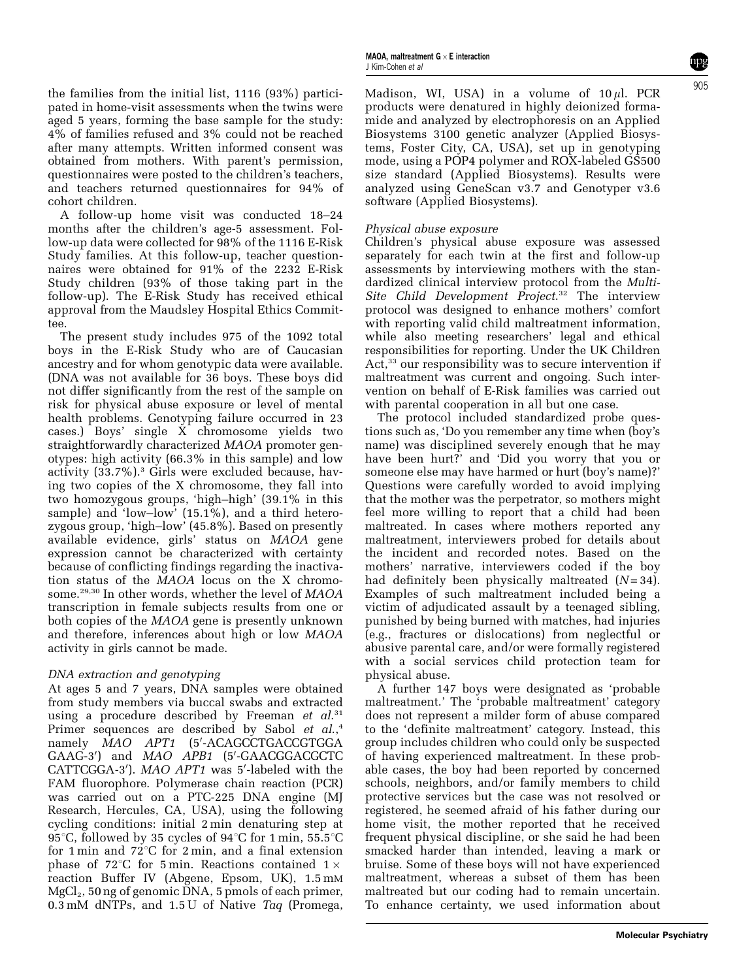J Kim-Cohen et al

the families from the initial list, 1116 (93%) participated in home-visit assessments when the twins were aged 5 years, forming the base sample for the study: 4% of families refused and 3% could not be reached after many attempts. Written informed consent was obtained from mothers. With parent's permission, questionnaires were posted to the children's teachers, and teachers returned questionnaires for 94% of cohort children.

A follow-up home visit was conducted 18–24 months after the children's age-5 assessment. Follow-up data were collected for 98% of the 1116 E-Risk Study families. At this follow-up, teacher questionnaires were obtained for 91% of the 2232 E-Risk Study children (93% of those taking part in the follow-up). The E-Risk Study has received ethical approval from the Maudsley Hospital Ethics Committee.

The present study includes 975 of the 1092 total boys in the E-Risk Study who are of Caucasian ancestry and for whom genotypic data were available. (DNA was not available for 36 boys. These boys did not differ significantly from the rest of the sample on risk for physical abuse exposure or level of mental health problems. Genotyping failure occurred in 23 cases.) Boys' single X chromosome yields two straightforwardly characterized MAOA promoter genotypes: high activity (66.3% in this sample) and low activity (33.7%).3 Girls were excluded because, having two copies of the X chromosome, they fall into two homozygous groups, 'high–high' (39.1% in this sample) and 'low-low'  $(15.1\%)$ , and a third heterozygous group, 'high–low' (45.8%). Based on presently available evidence, girls' status on MAOA gene expression cannot be characterized with certainty because of conflicting findings regarding the inactivation status of the MAOA locus on the X chromosome.<sup>29,30</sup> In other words, whether the level of MAOA transcription in female subjects results from one or both copies of the MAOA gene is presently unknown and therefore, inferences about high or low MAOA activity in girls cannot be made.

# DNA extraction and genotyping

At ages 5 and 7 years, DNA samples were obtained from study members via buccal swabs and extracted using a procedure described by Freeman et al.<sup>31</sup> Primer sequences are described by Sabol et al.,<sup>4</sup> namely *MAO APT1* (5'-ACAGCCTGACCGTGGA GAAG-3') and MAO APB1 (5'-GAACGGACGCTC CATTCGGA-3'). MAO APT1 was 5'-labeled with the FAM fluorophore. Polymerase chain reaction (PCR) was carried out on a PTC-225 DNA engine (MJ Research, Hercules, CA, USA), using the following cycling conditions: initial 2 min denaturing step at 95<sup>°</sup>C, followed by 35 cycles of 94<sup>°</sup>C for 1 min, 55.5<sup>°</sup>C for 1 min and  $72^{\circ}$ C for 2 min, and a final extension phase of 72<sup>°</sup>C for 5 min. Reactions contained  $1 \times$ reaction Buffer IV (Abgene, Epsom, UK), 1.5 mM  $MgCl<sub>2</sub>$ , 50 ng of genomic DNA, 5 pmols of each primer, 0.3 mM dNTPs, and 1.5 U of Native Taq (Promega,

Madison, WI, USA) in a volume of  $10 \mu l$ . PCR products were denatured in highly deionized formamide and analyzed by electrophoresis on an Applied Biosystems 3100 genetic analyzer (Applied Biosystems, Foster City, CA, USA), set up in genotyping mode, using a POP4 polymer and ROX-labeled GS500 size standard (Applied Biosystems). Results were analyzed using GeneScan v3.7 and Genotyper v3.6 software (Applied Biosystems).

## Physical abuse exposure

MAOA, maltreatment  $G \times F$  interaction

Children's physical abuse exposure was assessed separately for each twin at the first and follow-up assessments by interviewing mothers with the standardized clinical interview protocol from the Multi-Site Child Development Project.<sup>32</sup> The interview protocol was designed to enhance mothers' comfort with reporting valid child maltreatment information, while also meeting researchers' legal and ethical responsibilities for reporting. Under the UK Children Act,<sup>33</sup> our responsibility was to secure intervention if maltreatment was current and ongoing. Such intervention on behalf of E-Risk families was carried out with parental cooperation in all but one case.

The protocol included standardized probe questions such as, 'Do you remember any time when (boy's name) was disciplined severely enough that he may have been hurt?' and 'Did you worry that you or someone else may have harmed or hurt (boy's name)?' Questions were carefully worded to avoid implying that the mother was the perpetrator, so mothers might feel more willing to report that a child had been maltreated. In cases where mothers reported any maltreatment, interviewers probed for details about the incident and recorded notes. Based on the mothers' narrative, interviewers coded if the boy had definitely been physically maltreated  $(N=34)$ . Examples of such maltreatment included being a victim of adjudicated assault by a teenaged sibling, punished by being burned with matches, had injuries (e.g., fractures or dislocations) from neglectful or abusive parental care, and/or were formally registered with a social services child protection team for physical abuse.

A further 147 boys were designated as 'probable maltreatment.' The 'probable maltreatment' category does not represent a milder form of abuse compared to the 'definite maltreatment' category. Instead, this group includes children who could only be suspected of having experienced maltreatment. In these probable cases, the boy had been reported by concerned schools, neighbors, and/or family members to child protective services but the case was not resolved or registered, he seemed afraid of his father during our home visit, the mother reported that he received frequent physical discipline, or she said he had been smacked harder than intended, leaving a mark or bruise. Some of these boys will not have experienced maltreatment, whereas a subset of them has been maltreated but our coding had to remain uncertain. To enhance certainty, we used information about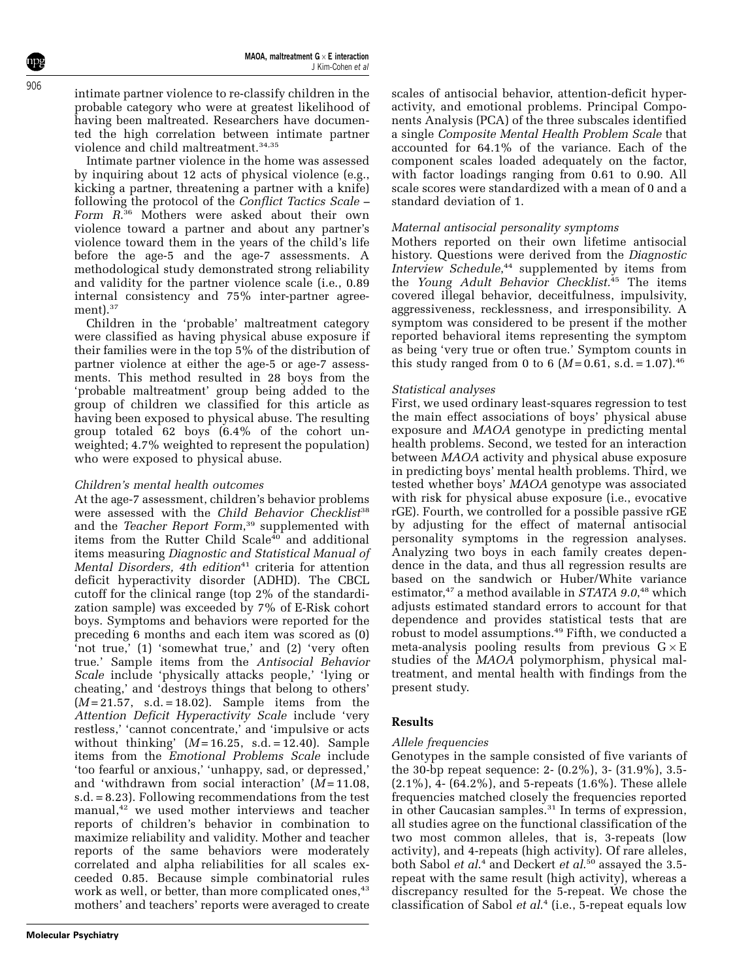intimate partner violence to re-classify children in the probable category who were at greatest likelihood of having been maltreated. Researchers have documented the high correlation between intimate partner violence and child maltreatment.<sup>34,35</sup>

Intimate partner violence in the home was assessed by inquiring about 12 acts of physical violence (e.g., kicking a partner, threatening a partner with a knife) following the protocol of the Conflict Tactics Scale – Form R.<sup>36</sup> Mothers were asked about their own violence toward a partner and about any partner's violence toward them in the years of the child's life before the age-5 and the age-7 assessments. A methodological study demonstrated strong reliability and validity for the partner violence scale (i.e., 0.89 internal consistency and 75% inter-partner agreement).<sup>37</sup>

Children in the 'probable' maltreatment category were classified as having physical abuse exposure if their families were in the top 5% of the distribution of partner violence at either the age-5 or age-7 assessments. This method resulted in 28 boys from the 'probable maltreatment' group being added to the group of children we classified for this article as having been exposed to physical abuse. The resulting group totaled 62 boys (6.4% of the cohort unweighted; 4.7% weighted to represent the population) who were exposed to physical abuse.

### Children's mental health outcomes

At the age-7 assessment, children's behavior problems were assessed with the Child Behavior Checklist<sup>38</sup> and the Teacher Report Form,<sup>39</sup> supplemented with items from the Rutter Child Scale<sup>40</sup> and additional items measuring Diagnostic and Statistical Manual of Mental Disorders, 4th edition $41$  criteria for attention deficit hyperactivity disorder (ADHD). The CBCL cutoff for the clinical range (top 2% of the standardization sample) was exceeded by 7% of E-Risk cohort boys. Symptoms and behaviors were reported for the preceding 6 months and each item was scored as (0) 'not true,' (1) 'somewhat true,' and (2) 'very often true.' Sample items from the Antisocial Behavior Scale include 'physically attacks people,' 'lying or cheating,' and 'destroys things that belong to others'  $(M=21.57, s.d. = 18.02)$ . Sample items from the Attention Deficit Hyperactivity Scale include 'very restless,' 'cannot concentrate,' and 'impulsive or acts without thinking'  $(M=16.25, s.d.=12.40)$ . Sample items from the Emotional Problems Scale include 'too fearful or anxious,' 'unhappy, sad, or depressed,' and 'withdrawn from social interaction'  $(M=11.08$ , s.d. = 8.23). Following recommendations from the test manual,<sup>42</sup> we used mother interviews and teacher reports of children's behavior in combination to maximize reliability and validity. Mother and teacher reports of the same behaviors were moderately correlated and alpha reliabilities for all scales exceeded 0.85. Because simple combinatorial rules work as well, or better, than more complicated ones.<sup>43</sup> mothers' and teachers' reports were averaged to create scales of antisocial behavior, attention-deficit hyperactivity, and emotional problems. Principal Components Analysis (PCA) of the three subscales identified a single Composite Mental Health Problem Scale that accounted for 64.1% of the variance. Each of the component scales loaded adequately on the factor, with factor loadings ranging from 0.61 to 0.90. All scale scores were standardized with a mean of 0 and a standard deviation of 1.

#### Maternal antisocial personality symptoms

Mothers reported on their own lifetime antisocial history. Questions were derived from the Diagnostic Interview Schedule,<sup>44</sup> supplemented by items from the Young Adult Behavior Checklist.<sup>45</sup> The items covered illegal behavior, deceitfulness, impulsivity, aggressiveness, recklessness, and irresponsibility. A symptom was considered to be present if the mother reported behavioral items representing the symptom as being 'very true or often true.' Symptom counts in this study ranged from 0 to 6  $(M = 0.61, s.d. = 1.07).$ <sup>46</sup>

#### Statistical analyses

First, we used ordinary least-squares regression to test the main effect associations of boys' physical abuse exposure and MAOA genotype in predicting mental health problems. Second, we tested for an interaction between MAOA activity and physical abuse exposure in predicting boys' mental health problems. Third, we tested whether boys' MAOA genotype was associated with risk for physical abuse exposure (i.e., evocative rGE). Fourth, we controlled for a possible passive rGE by adjusting for the effect of maternal antisocial personality symptoms in the regression analyses. Analyzing two boys in each family creates dependence in the data, and thus all regression results are based on the sandwich or Huber/White variance estimator,<sup>47</sup> a method available in STATA 9.0,<sup>48</sup> which adjusts estimated standard errors to account for that dependence and provides statistical tests that are robust to model assumptions.<sup>49</sup> Fifth, we conducted a meta-analysis pooling results from previous  $G \times E$ studies of the MAOA polymorphism, physical maltreatment, and mental health with findings from the present study.

## Results

#### Allele frequencies

Genotypes in the sample consisted of five variants of the 30-bp repeat sequence: 2- (0.2%), 3- (31.9%), 3.5- (2.1%), 4- (64.2%), and 5-repeats (1.6%). These allele frequencies matched closely the frequencies reported in other Caucasian samples.<sup>31</sup> In terms of expression, all studies agree on the functional classification of the two most common alleles, that is, 3-repeats (low activity), and 4-repeats (high activity). Of rare alleles, both Sabol *et al.*<sup>4</sup> and Deckert *et al.*<sup>50</sup> assayed the 3.5repeat with the same result (high activity), whereas a discrepancy resulted for the 5-repeat. We chose the classification of Sabol et al.<sup>4</sup> (i.e., 5-repeat equals low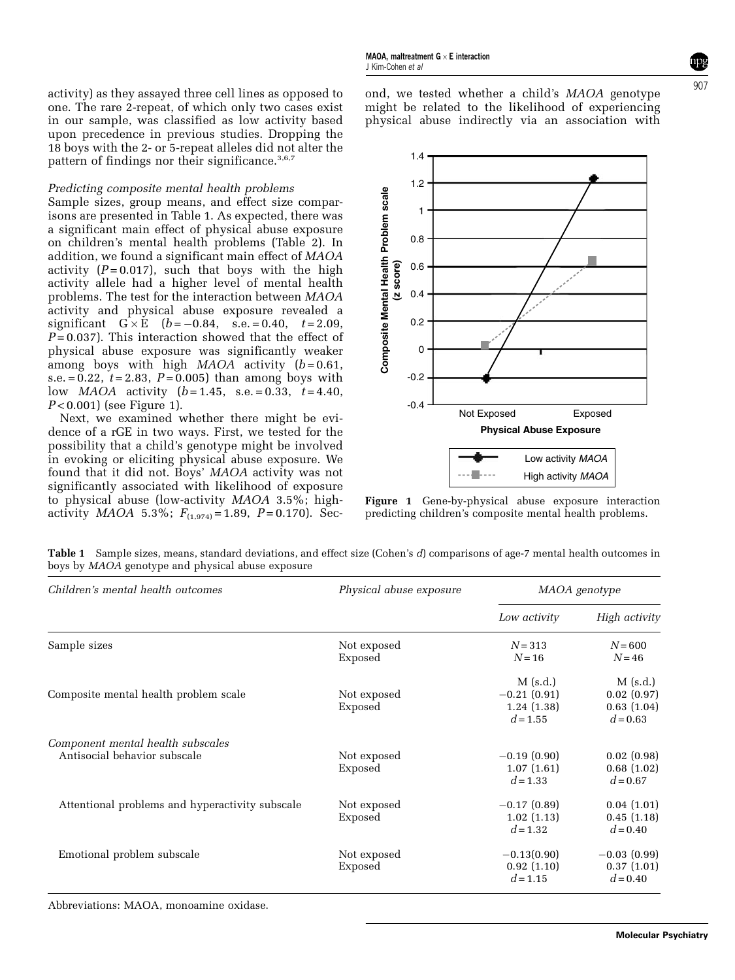activity) as they assayed three cell lines as opposed to one. The rare 2-repeat, of which only two cases exist in our sample, was classified as low activity based upon precedence in previous studies. Dropping the 18 boys with the 2- or 5-repeat alleles did not alter the pattern of findings nor their significance.  $3,6,7$ 

#### Predicting composite mental health problems

Sample sizes, group means, and effect size comparisons are presented in Table 1. As expected, there was a significant main effect of physical abuse exposure on children's mental health problems (Table 2). In addition, we found a significant main effect of MAOA activity  $(P=0.017)$ , such that boys with the high activity allele had a higher level of mental health problems. The test for the interaction between MAOA activity and physical abuse exposure revealed a significant  $G \times E$  (b = -0.84, s.e. = 0.40, t = 2.09,  $P = 0.037$ ). This interaction showed that the effect of physical abuse exposure was significantly weaker among boys with high  $MAOA$  activity  $(b=0.61,$ s.e. = 0.22,  $t = 2.83$ ,  $P = 0.005$ ) than among boys with low MAOA activity  $(b = 1.45, s.e. = 0.33, t = 4.40,$  $P < 0.001$  (see Figure 1).

Next, we examined whether there might be evidence of a rGE in two ways. First, we tested for the possibility that a child's genotype might be involved in evoking or eliciting physical abuse exposure. We found that it did not. Boys' MAOA activity was not significantly associated with likelihood of exposure to physical abuse (low-activity MAOA 3.5%; highactivity MAOA 5.3%;  $F_{(1,974)} = 1.89$ ,  $P = 0.170$ ). Second, we tested whether a child's MAOA genotype might be related to the likelihood of experiencing physical abuse indirectly via an association with



Figure 1 Gene-by-physical abuse exposure interaction predicting children's composite mental health problems.

| Table 1 Sample sizes, means, standard deviations, and effect size (Cohen's d) comparisons of age-7 mental health outcomes in |  |  |  |  |
|------------------------------------------------------------------------------------------------------------------------------|--|--|--|--|
| boys by MAOA genotype and physical abuse exposure                                                                            |  |  |  |  |

| Children's mental health outcomes                                 | Physical abuse exposure | MAOA genotype                                           |                                                      |  |  |
|-------------------------------------------------------------------|-------------------------|---------------------------------------------------------|------------------------------------------------------|--|--|
|                                                                   |                         | Low activity                                            | High activity                                        |  |  |
| Sample sizes                                                      | Not exposed<br>Exposed  | $N = 313$<br>$N=16$                                     | $N = 600$<br>$N=46$                                  |  |  |
| Composite mental health problem scale                             | Not exposed<br>Exposed  | $M$ (s.d.)<br>$-0.21(0.91)$<br>1.24(1.38)<br>$d = 1.55$ | $M$ (s.d.)<br>0.02(0.97)<br>0.63(1.04)<br>$d = 0.63$ |  |  |
| Component mental health subscales<br>Antisocial behavior subscale | Not exposed<br>Exposed  | $-0.19(0.90)$<br>1.07(1.61)<br>$d = 1.33$               | 0.02(0.98)<br>0.68(1.02)<br>$d = 0.67$               |  |  |
| Attentional problems and hyperactivity subscale                   | Not exposed<br>Exposed  | $-0.17(0.89)$<br>1.02(1.13)<br>$d = 1.32$               | 0.04(1.01)<br>0.45(1.18)<br>$d = 0.40$               |  |  |
| Emotional problem subscale                                        | Not exposed<br>Exposed  | $-0.13(0.90)$<br>0.92(1.10)<br>$d = 1.15$               | $-0.03(0.99)$<br>0.37(1.01)<br>$d = 0.40$            |  |  |

Abbreviations: MAOA, monoamine oxidase.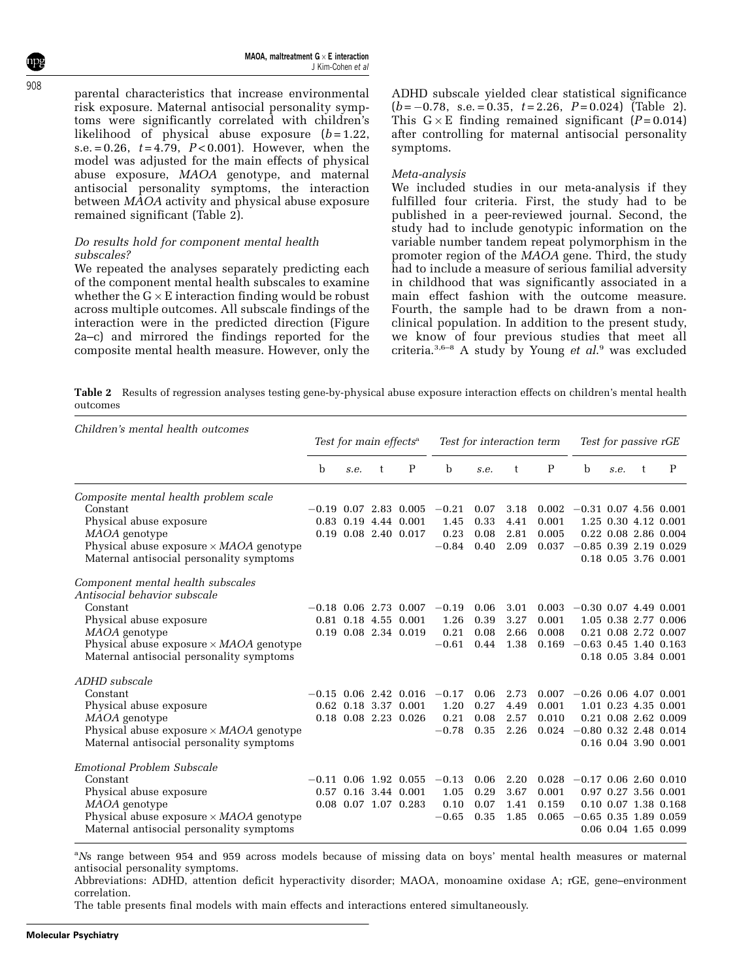MAOA, maltreatment  $G \times E$  interaction J Kim-Cohen et al

parental characteristics that increase environmental risk exposure. Maternal antisocial personality symptoms were significantly correlated with children's likelihood of physical abuse exposure  $(b=1.22,$ s.e. = 0.26,  $t = 4.79$ ,  $P < 0.001$ ). However, when the model was adjusted for the main effects of physical abuse exposure, MAOA genotype, and maternal antisocial personality symptoms, the interaction between MAOA activity and physical abuse exposure remained significant (Table 2).

#### Do results hold for component mental health subscales?

We repeated the analyses separately predicting each of the component mental health subscales to examine whether the  $G \times E$  interaction finding would be robust across multiple outcomes. All subscale findings of the interaction were in the predicted direction (Figure 2a–c) and mirrored the findings reported for the composite mental health measure. However, only the

ADHD subscale yielded clear statistical significance  $(b = -0.78, s.e. = 0.35, t = 2.26, P = 0.024)$  (Table 2). This  $G \times E$  finding remained significant  $(P=0.014)$ after controlling for maternal antisocial personality symptoms.

#### Meta-analysis

We included studies in our meta-analysis if they fulfilled four criteria. First, the study had to be published in a peer-reviewed journal. Second, the study had to include genotypic information on the variable number tandem repeat polymorphism in the promoter region of the MAOA gene. Third, the study had to include a measure of serious familial adversity in childhood that was significantly associated in a main effect fashion with the outcome measure. Fourth, the sample had to be drawn from a nonclinical population. In addition to the present study, we know of four previous studies that meet all criteria.<sup>3,6-8</sup> A study by Young et  $al.^9$  was excluded

Table 2 Results of regression analyses testing gene-by-physical abuse exposure interaction effects on children's mental health outcomes

| Children's mental health outcomes                                                                                                                                                                                       |   | Test for main effects <sup>a</sup> |              |                                                                         | Test for interaction term                                  |                              |                              |                                  | Test for passive rGE                                     |      |              |                                                                      |
|-------------------------------------------------------------------------------------------------------------------------------------------------------------------------------------------------------------------------|---|------------------------------------|--------------|-------------------------------------------------------------------------|------------------------------------------------------------|------------------------------|------------------------------|----------------------------------|----------------------------------------------------------|------|--------------|----------------------------------------------------------------------|
|                                                                                                                                                                                                                         | b | s.e.                               | $^{\dagger}$ | P                                                                       | b                                                          | s.e.                         | t                            | P                                | b                                                        | s.e. | $^{\dagger}$ | P                                                                    |
| Composite mental health problem scale<br>Constant<br>Physical abuse exposure<br>MAOA genotype<br>Physical abuse exposure $\times MAOA$ genotype<br>Maternal antisocial personality symptoms                             |   |                                    |              | 0.83 0.19 4.44 0.001<br>0.19 0.08 2.40 0.017                            | $-0.19$ 0.07 2.83 0.005 $-0.21$<br>1.45<br>0.23<br>$-0.84$ | 0.07<br>0.33<br>0.08<br>0.40 | 3.18<br>4.41<br>2.81<br>2.09 | 0.001<br>0.005<br>0.037          | $0.002 -0.31 0.07 4.56 0.001$<br>$-0.85$ 0.39 2.19 0.029 |      |              | 1.25 0.30 4.12 0.001<br>0.22 0.08 2.86 0.004<br>0.18 0.05 3.76 0.001 |
| Component mental health subscales<br>Antisocial behavior subscale<br>Constant<br>Physical abuse exposure<br>MAOA genotype<br>Physical abuse exposure $\times MAOA$ genotype<br>Maternal antisocial personality symptoms |   |                                    |              | $-0.18$ 0.06 2.73 0.007<br>0.81 0.18 4.55 0.001<br>0.19 0.08 2.34 0.019 | $-0.19$<br>1.26<br>0.21<br>$-0.61$                         | 0.06<br>0.39<br>0.08<br>0.44 | 3.01<br>3.27<br>2.66<br>1.38 | 0.001<br>0.008<br>0.169          | $0.003 -0.30 0.07 4.49 0.001$<br>$-0.63$ 0.45 1.40 0.163 |      |              | 1.05 0.38 2.77 0.006<br>0.21 0.08 2.72 0.007<br>0.18 0.05 3.84 0.001 |
| ADHD subscale<br>Constant<br>Physical abuse exposure<br>MAOA genotype<br>Physical abuse exposure $\times MAOA$ genotype<br>Maternal antisocial personality symptoms                                                     |   |                                    |              | 0.62 0.18 3.37 0.001<br>0.18 0.08 2.23 0.026                            | $-0.15$ 0.06 2.42 0.016 $-0.17$<br>1.20<br>0.21<br>$-0.78$ | 0.06<br>0.27<br>0.08<br>0.35 | 2.73<br>4.49<br>2.57<br>2.26 | 0.001<br>0.010<br>0.024          | $0.007 -0.26 0.06 4.07 0.001$<br>$-0.80$ 0.32 2.48 0.014 |      |              | 1.01 0.23 4.35 0.001<br>0.21 0.08 2.62 0.009<br>0.16 0.04 3.90 0.001 |
| Emotional Problem Subscale<br>Constant<br>Physical abuse exposure<br>MAOA genotype<br>Physical abuse exposure $\times MAOA$ genotype<br>Maternal antisocial personality symptoms                                        |   |                                    |              | $-0.11$ 0.06 1.92 0.055<br>0.57 0.16 3.44 0.001<br>0.08 0.07 1.07 0.283 | $-0.13$<br>1.05<br>0.10<br>$-0.65$                         | 0.06<br>0.29<br>0.07<br>0.35 | 2.20<br>3.67<br>1.41<br>1.85 | 0.028<br>0.001<br>0.159<br>0.065 | $-0.17$ 0.06 2.60 0.010<br>$-0.65$ 0.35 1.89 0.059       |      |              | 0.97 0.27 3.56 0.001<br>0.10 0.07 1.38 0.168<br>0.06 0.04 1.65 0.099 |

<sup>a</sup>Ns range between 954 and 959 across models because of missing data on boys' mental health measures or maternal antisocial personality symptoms.

Abbreviations: ADHD, attention deficit hyperactivity disorder; MAOA, monoamine oxidase A; rGE, gene–environment correlation.

The table presents final models with main effects and interactions entered simultaneously.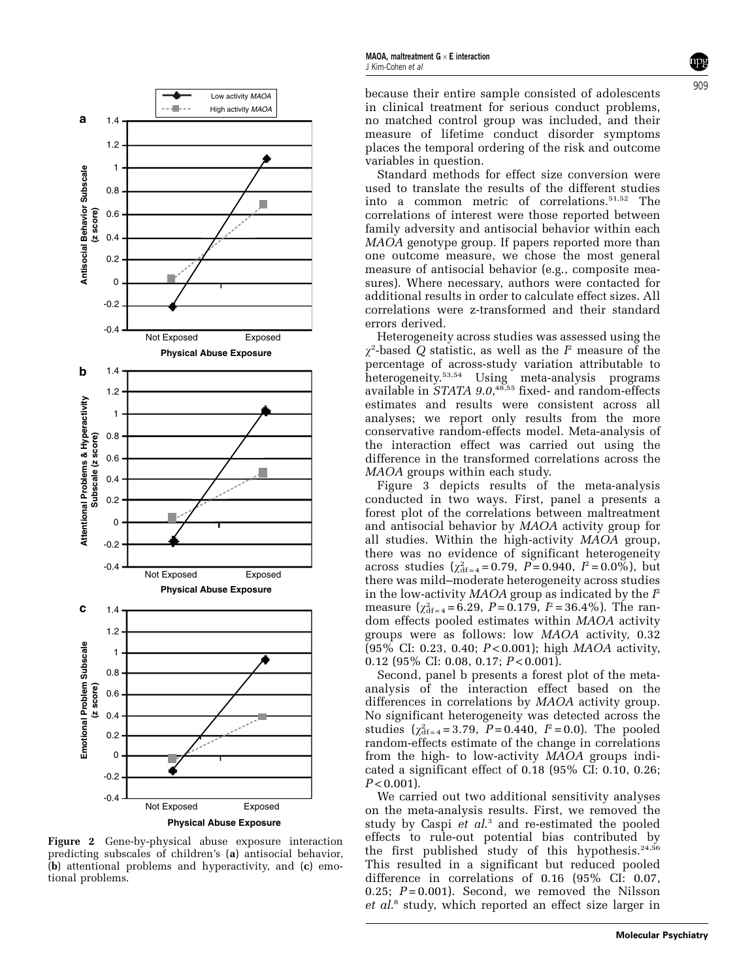because their entire sample consisted of adolescents in clinical treatment for serious conduct problems, no matched control group was included, and their measure of lifetime conduct disorder symptoms places the temporal ordering of the risk and outcome variables in question.

Standard methods for effect size conversion were used to translate the results of the different studies into a common metric of correlations.51,52 The correlations of interest were those reported between family adversity and antisocial behavior within each MAOA genotype group. If papers reported more than one outcome measure, we chose the most general measure of antisocial behavior (e.g., composite measures). Where necessary, authors were contacted for additional results in order to calculate effect sizes. All correlations were z-transformed and their standard errors derived.

Heterogeneity across studies was assessed using the  $\chi^2$ -based Q statistic, as well as the  $I^2$  measure of the percentage of across-study variation attributable to heterogeneity.53,54 Using meta-analysis programs available in STATA 9.0, 48,55 fixed- and random-effects estimates and results were consistent across all analyses; we report only results from the more conservative random-effects model. Meta-analysis of the interaction effect was carried out using the difference in the transformed correlations across the MAOA groups within each study.

Figure 3 depicts results of the meta-analysis conducted in two ways. First, panel a presents a forest plot of the correlations between maltreatment and antisocial behavior by MAOA activity group for all studies. Within the high-activity MAOA group, there was no evidence of significant heterogeneity across studies  $(\chi^2_{\text{df}=4}=0.79, P=0.940, I^2=0.0\%)$ , but there was mild–moderate heterogeneity across studies in the low-activity MAOA group as indicated by the  $I^2$ measure  $(\chi^2_{\text{df}=4}=6.29, P=0.179, I^2=36.4\%).$  The random effects pooled estimates within MAOA activity groups were as follows: low MAOA activity, 0.32 (95% CI: 0.23, 0.40;  $P < 0.001$ ); high MAOA activity, 0.12 (95% CI: 0.08, 0.17;  $P < 0.001$ ).

Second, panel b presents a forest plot of the metaanalysis of the interaction effect based on the differences in correlations by MAOA activity group. No significant heterogeneity was detected across the studies  $(\chi^2_{\text{df}=4} = 3.79, P = 0.440, I^2 = 0.0)$ . The pooled random-effects estimate of the change in correlations from the high- to low-activity MAOA groups indicated a significant effect of 0.18 (95% CI: 0.10, 0.26;  $P < 0.001$ ).

We carried out two additional sensitivity analyses on the meta-analysis results. First, we removed the study by Caspi et al.<sup>3</sup> and re-estimated the pooled effects to rule-out potential bias contributed by the first published study of this hypothesis.<sup>24,56</sup> This resulted in a significant but reduced pooled difference in correlations of 0.16 (95% CI: 0.07, 0.25;  $P=0.001$ ). Second, we removed the Nilsson et al.<sup>8</sup> study, which reported an effect size larger in

Figure 2 Gene-by-physical abuse exposure interaction predicting subscales of children's (a) antisocial behavior, (b) attentional problems and hyperactivity, and (c) emotional problems.



1.4 1.2 1 0.8

ò.

Low activity *MAOA* High activity *MAOA*

Г

**a**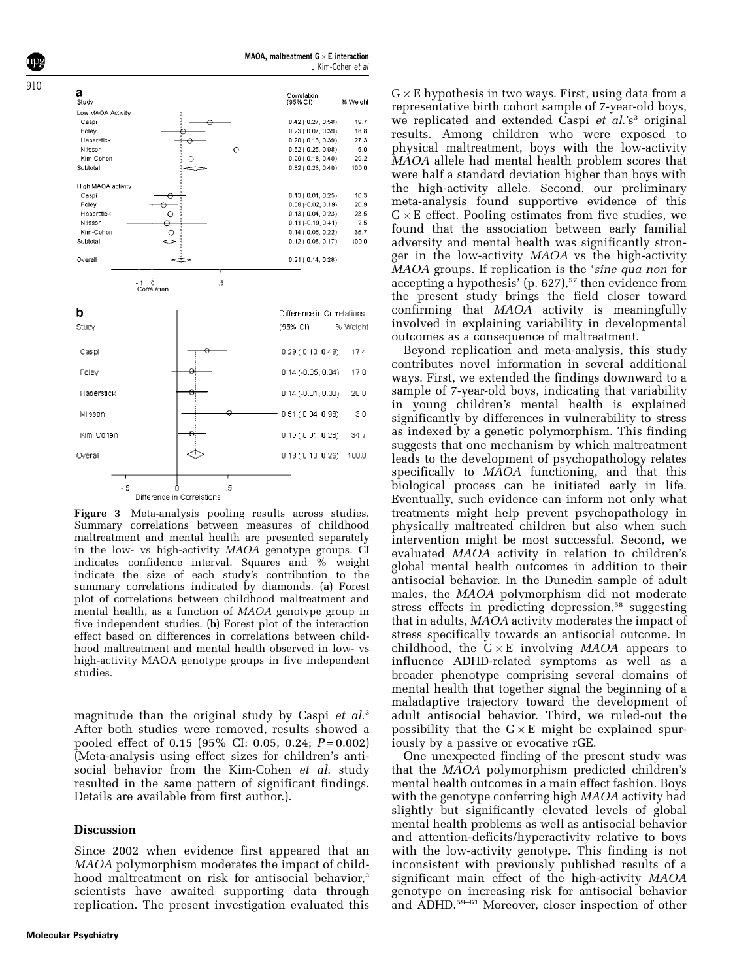

MAOA, maltreatment  $G \times E$  interaction

Figure 3 Meta-analysis pooling results across studies. Summary correlations between measures of childhood maltreatment and mental health are presented separately in the low- vs high-activity MAOA genotype groups. CI indicates confidence interval. Squares and % weight indicate the size of each study's contribution to the summary correlations indicated by diamonds. (a) Forest plot of correlations between childhood maltreatment and mental health, as a function of MAOA genotype group in five independent studies. (b) Forest plot of the interaction effect based on differences in correlations between childhood maltreatment and mental health observed in low- vs high-activity MAOA genotype groups in five independent studies.

magnitude than the original study by Caspi et al.<sup>3</sup> After both studies were removed, results showed a pooled effect of 0.15 (95% CI: 0.05, 0.24;  $P=0.002$ ) (Meta-analysis using effect sizes for children's antisocial behavior from the Kim-Cohen et al. study resulted in the same pattern of significant findings. Details are available from first author.).

#### Discussion

Since 2002 when evidence first appeared that an MAOA polymorphism moderates the impact of childhood maltreatment on risk for antisocial behavior.<sup>3</sup> scientists have awaited supporting data through replication. The present investigation evaluated this

**Molecular Psychiatry**

 $G \times E$  hypothesis in two ways. First, using data from a representative birth cohort sample of 7-year-old boys, we replicated and extended Caspi  $et$   $al.'s'$  original results. Among children who were exposed to physical maltreatment, boys with the low-activity MAOA allele had mental health problem scores that were half a standard deviation higher than boys with the high-activity allele. Second, our preliminary meta-analysis found supportive evidence of this  $G \times E$  effect. Pooling estimates from five studies, we found that the association between early familial adversity and mental health was significantly stronger in the low-activity MAOA vs the high-activity MAOA groups. If replication is the 'sine qua non for accepting a hypothesis' (p. 627), $57$  then evidence from the present study brings the field closer toward confirming that MAOA activity is meaningfully involved in explaining variability in developmental outcomes as a consequence of maltreatment.

Beyond replication and meta-analysis, this study contributes novel information in several additional ways. First, we extended the findings downward to a sample of 7-year-old boys, indicating that variability in young children's mental health is explained significantly by differences in vulnerability to stress as indexed by a genetic polymorphism. This finding suggests that one mechanism by which maltreatment leads to the development of psychopathology relates specifically to MAOA functioning, and that this biological process can be initiated early in life. Eventually, such evidence can inform not only what treatments might help prevent psychopathology in physically maltreated children but also when such intervention might be most successful. Second, we evaluated MAOA activity in relation to children's global mental health outcomes in addition to their antisocial behavior. In the Dunedin sample of adult males, the MAOA polymorphism did not moderate stress effects in predicting depression,<sup>58</sup> suggesting that in adults, MAOA activity moderates the impact of stress specifically towards an antisocial outcome. In childhood, the  $G \times E$  involving MAOA appears to influence ADHD-related symptoms as well as a broader phenotype comprising several domains of mental health that together signal the beginning of a maladaptive trajectory toward the development of adult antisocial behavior. Third, we ruled-out the possibility that the  $G \times E$  might be explained spuriously by a passive or evocative rGE.

One unexpected finding of the present study was that the MAOA polymorphism predicted children's mental health outcomes in a main effect fashion. Boys with the genotype conferring high MAOA activity had slightly but significantly elevated levels of global mental health problems as well as antisocial behavior and attention-deficits/hyperactivity relative to boys with the low-activity genotype. This finding is not inconsistent with previously published results of a significant main effect of the high-activity MAOA genotype on increasing risk for antisocial behavior and ADHD.59–61 Moreover, closer inspection of other

910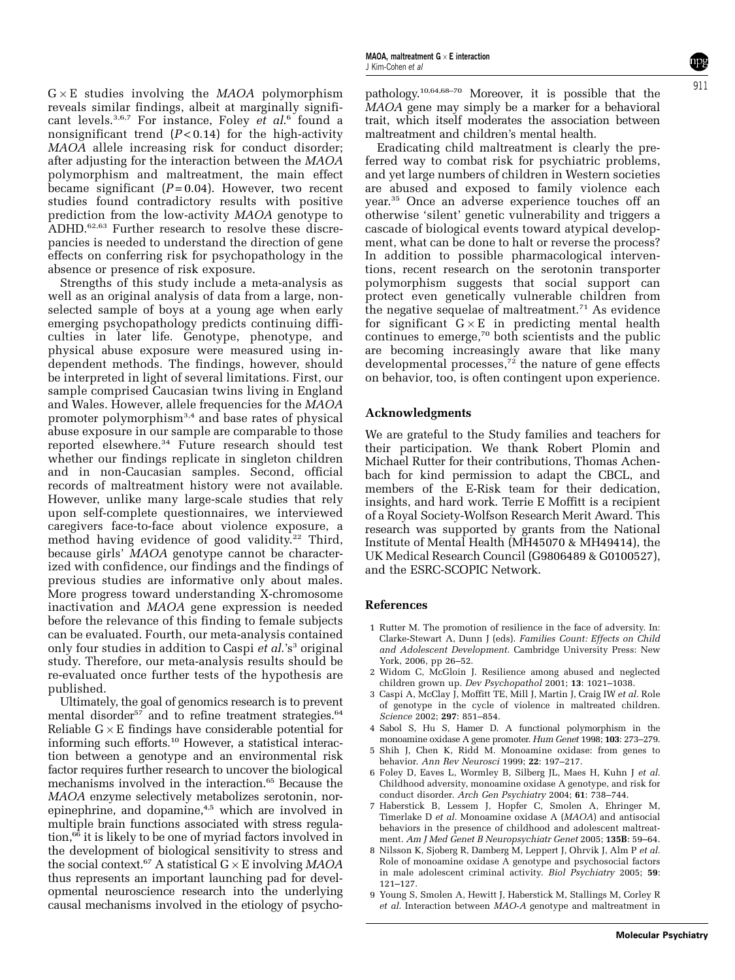$G \times E$  studies involving the MAOA polymorphism reveals similar findings, albeit at marginally significant levels.<sup>3,6,7</sup> For instance, Foley et al.<sup>6</sup> found a nonsignificant trend  $(P< 0.14)$  for the high-activity MAOA allele increasing risk for conduct disorder; after adjusting for the interaction between the MAOA polymorphism and maltreatment, the main effect became significant  $(P=0.04)$ . However, two recent studies found contradictory results with positive prediction from the low-activity MAOA genotype to ADHD.62,63 Further research to resolve these discrepancies is needed to understand the direction of gene effects on conferring risk for psychopathology in the absence or presence of risk exposure.

Strengths of this study include a meta-analysis as well as an original analysis of data from a large, nonselected sample of boys at a young age when early emerging psychopathology predicts continuing difficulties in later life. Genotype, phenotype, and physical abuse exposure were measured using independent methods. The findings, however, should be interpreted in light of several limitations. First, our sample comprised Caucasian twins living in England and Wales. However, allele frequencies for the MAOA promoter polymorphism<sup>3,4</sup> and base rates of physical abuse exposure in our sample are comparable to those reported elsewhere.<sup>34</sup> Future research should test whether our findings replicate in singleton children and in non-Caucasian samples. Second, official records of maltreatment history were not available. However, unlike many large-scale studies that rely upon self-complete questionnaires, we interviewed caregivers face-to-face about violence exposure, a method having evidence of good validity.<sup>22</sup> Third, because girls' MAOA genotype cannot be characterized with confidence, our findings and the findings of previous studies are informative only about males. More progress toward understanding X-chromosome inactivation and MAOA gene expression is needed before the relevance of this finding to female subjects can be evaluated. Fourth, our meta-analysis contained only four studies in addition to Caspi et al.'s<sup>3</sup> original study. Therefore, our meta-analysis results should be re-evaluated once further tests of the hypothesis are published.

Ultimately, the goal of genomics research is to prevent mental disorder<sup>57</sup> and to refine treatment strategies.<sup>64</sup> Reliable  $G \times E$  findings have considerable potential for informing such efforts.<sup>10</sup> However, a statistical interaction between a genotype and an environmental risk factor requires further research to uncover the biological mechanisms involved in the interaction.<sup>65</sup> Because the MAOA enzyme selectively metabolizes serotonin, norepinephrine, and dopamine,<sup>4,5</sup> which are involved in multiple brain functions associated with stress regulation,<sup>66</sup> it is likely to be one of myriad factors involved in the development of biological sensitivity to stress and the social context.<sup>67</sup> A statistical  $G \times E$  involving MAOA thus represents an important launching pad for developmental neuroscience research into the underlying causal mechanisms involved in the etiology of psychopathology.10,64,68–70 Moreover, it is possible that the MAOA gene may simply be a marker for a behavioral trait, which itself moderates the association between maltreatment and children's mental health.

Eradicating child maltreatment is clearly the preferred way to combat risk for psychiatric problems, and yet large numbers of children in Western societies are abused and exposed to family violence each year.35 Once an adverse experience touches off an otherwise 'silent' genetic vulnerability and triggers a cascade of biological events toward atypical development, what can be done to halt or reverse the process? In addition to possible pharmacological interventions, recent research on the serotonin transporter polymorphism suggests that social support can protect even genetically vulnerable children from the negative sequelae of maltreatment.71 As evidence for significant  $G \times E$  in predicting mental health continues to emerge, $70$  both scientists and the public are becoming increasingly aware that like many developmental processes, $\bar{z}^2$  the nature of gene effects on behavior, too, is often contingent upon experience.

#### Acknowledgments

We are grateful to the Study families and teachers for their participation. We thank Robert Plomin and Michael Rutter for their contributions, Thomas Achenbach for kind permission to adapt the CBCL, and members of the E-Risk team for their dedication, insights, and hard work. Terrie E Moffitt is a recipient of a Royal Society-Wolfson Research Merit Award. This research was supported by grants from the National Institute of Mental Health (MH45070 & MH49414), the UK Medical Research Council (G9806489 & G0100527), and the ESRC-SCOPIC Network.

#### References

- 1 Rutter M. The promotion of resilience in the face of adversity. In: Clarke-Stewart A, Dunn J (eds). Families Count: Effects on Child and Adolescent Development. Cambridge University Press: New York, 2006, pp 26–52.
- 2 Widom C, McGloin J. Resilience among abused and neglected children grown up. Dev Psychopathol 2001; 13: 1021-1038.
- 3 Caspi A, McClay J, Moffitt TE, Mill J, Martin J, Craig IW et al. Role of genotype in the cycle of violence in maltreated children. Science 2002; 297: 851–854.
- 4 Sabol S, Hu S, Hamer D. A functional polymorphism in the monoamine oxidase A gene promoter. Hum Genet 1998; 103: 273–279.
- 5 Shih J, Chen K, Ridd M. Monoamine oxidase: from genes to behavior. Ann Rev Neurosci 1999; 22: 197–217.
- 6 Foley D, Eaves L, Wormley B, Silberg JL, Maes H, Kuhn J et al. Childhood adversity, monoamine oxidase A genotype, and risk for conduct disorder. Arch Gen Psychiatry 2004; 61: 738–744.
- 7 Haberstick B, Lessem J, Hopfer C, Smolen A, Ehringer M, Timerlake D et al. Monoamine oxidase A (MAOA) and antisocial behaviors in the presence of childhood and adolescent maltreatment. Am J Med Genet B Neuropsychiatr Genet 2005; 135B: 59–64.
- 8 Nilsson K, Sjoberg R, Damberg M, Leppert J, Ohrvik J, Alm P et al. Role of monoamine oxidase A genotype and psychosocial factors in male adolescent criminal activity. Biol Psychiatry 2005; 59: 121–127.
- 9 Young S, Smolen A, Hewitt J, Haberstick M, Stallings M, Corley R et al. Interaction between MAO-A genotype and maltreatment in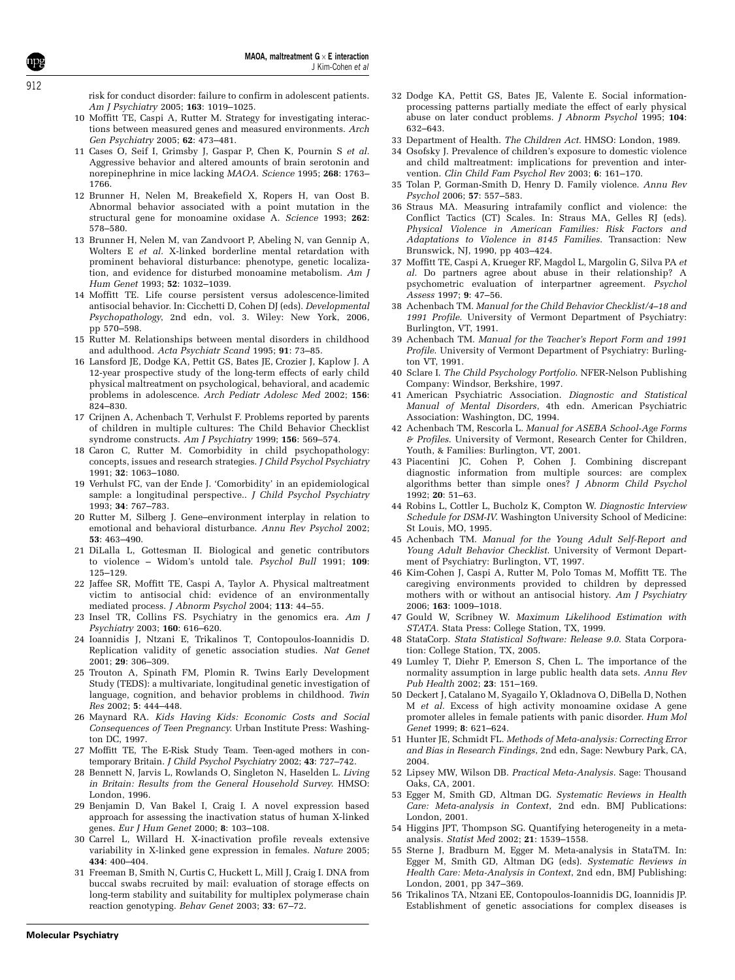- MAOA, maltreatment  $G \times E$  interaction J Kim-Cohen et al
- risk for conduct disorder: failure to confirm in adolescent patients. Am J Psychiatry 2005; 163: 1019–1025.
- 10 Moffitt TE, Caspi A, Rutter M. Strategy for investigating interactions between measured genes and measured environments. Arch Gen Psychiatry 2005; 62: 473–481.
- 11 Cases O, Seif I, Grimsby J, Gaspar P, Chen K, Pournin S et al. Aggressive behavior and altered amounts of brain serotonin and norepinephrine in mice lacking MAOA. Science 1995; 268: 1763– 1766.
- 12 Brunner H, Nelen M, Breakefield X, Ropers H, van Oost B. Abnormal behavior associated with a point mutation in the structural gene for monoamine oxidase A. Science 1993; 262: 578–580.
- 13 Brunner H, Nelen M, van Zandvoort P, Abeling N, van Gennip A, Wolters E et al. X-linked borderline mental retardation with prominent behavioral disturbance: phenotype, genetic localization, and evidence for disturbed monoamine metabolism. Am J Hum Genet 1993; 52: 1032–1039.
- 14 Moffitt TE. Life course persistent versus adolescence-limited antisocial behavior. In: Cicchetti D, Cohen DJ (eds). Developmental Psychopathology, 2nd edn, vol. 3. Wiley: New York, 2006, pp 570–598.
- 15 Rutter M. Relationships between mental disorders in childhood and adulthood. Acta Psychiatr Scand 1995; 91: 73–85.
- 16 Lansford JE, Dodge KA, Pettit GS, Bates JE, Crozier J, Kaplow J. A 12-year prospective study of the long-term effects of early child physical maltreatment on psychological, behavioral, and academic problems in adolescence. Arch Pediatr Adolesc Med 2002; 156: 824–830.
- 17 Crijnen A, Achenbach T, Verhulst F. Problems reported by parents of children in multiple cultures: The Child Behavior Checklist syndrome constructs. Am J Psychiatry 1999; 156: 569–574.
- 18 Caron C, Rutter M. Comorbidity in child psychopathology: concepts, issues and research strategies. J Child Psychol Psychiatry 1991; 32: 1063–1080.
- 19 Verhulst FC, van der Ende J. 'Comorbidity' in an epidemiological sample: a longitudinal perspective.. *J Child Psychol Psychiatry* 1993; 34: 767–783.
- 20 Rutter M, Silberg J. Gene–environment interplay in relation to emotional and behavioral disturbance. Annu Rev Psychol 2002; 53: 463–490.
- 21 DiLalla L, Gottesman II. Biological and genetic contributors to violence – Widom's untold tale. Psychol Bull 1991; 109: 125–129.
- 22 Jaffee SR, Moffitt TE, Caspi A, Taylor A. Physical maltreatment victim to antisocial chid: evidence of an environmentally mediated process. J Abnorm Psychol 2004; 113: 44–55.
- 23 Insel TR, Collins FS. Psychiatry in the genomics era. Am J Psychiatry 2003; 160: 616–620.
- 24 Ioannidis J, Ntzani E, Trikalinos T, Contopoulos-Ioannidis D. Replication validity of genetic association studies. Nat Genet 2001; 29: 306–309.
- 25 Trouton A, Spinath FM, Plomin R. Twins Early Development Study (TEDS): a multivariate, longitudinal genetic investigation of language, cognition, and behavior problems in childhood. Twin Res 2002; 5: 444–448.
- 26 Maynard RA. Kids Having Kids: Economic Costs and Social Consequences of Teen Pregnancy. Urban Institute Press: Washington DC, 1997.
- 27 Moffitt TE, The E-Risk Study Team. Teen-aged mothers in contemporary Britain. J Child Psychol Psychiatry 2002; 43: 727–742.
- 28 Bennett N, Jarvis L, Rowlands O, Singleton N, Haselden L. Living in Britain: Results from the General Household Survey. HMSO: London, 1996.
- 29 Benjamin D, Van Bakel I, Craig I. A novel expression based approach for assessing the inactivation status of human X-linked genes. Eur J Hum Genet 2000; 8: 103–108.
- 30 Carrel L, Willard H. X-inactivation profile reveals extensive variability in X-linked gene expression in females. Nature 2005; 434: 400–404.
- 31 Freeman B, Smith N, Curtis C, Huckett L, Mill J, Craig I. DNA from buccal swabs recruited by mail: evaluation of storage effects on long-term stability and suitability for multiplex polymerase chain reaction genotyping. Behav Genet 2003; 33: 67–72.
- 32 Dodge KA, Pettit GS, Bates JE, Valente E. Social informationprocessing patterns partially mediate the effect of early physical abuse on later conduct problems. J Abnorm Psychol 1995; 104: 632–643.
- 33 Department of Health. The Children Act. HMSO: London, 1989.
- 34 Osofsky J. Prevalence of children's exposure to domestic violence and child maltreatment: implications for prevention and intervention. Clin Child Fam Psychol Rev 2003; 6: 161–170.
- 35 Tolan P, Gorman-Smith D, Henry D. Family violence. Annu Rev Psychol 2006; 57: 557–583.
- 36 Straus MA. Measuring intrafamily conflict and violence: the Conflict Tactics (CT) Scales. In: Straus MA, Gelles RJ (eds). Physical Violence in American Families: Risk Factors and Adaptations to Violence in 8145 Families. Transaction: New Brunswick, NJ, 1990, pp 403–424.
- 37 Moffitt TE, Caspi A, Krueger RF, Magdol L, Margolin G, Silva PA et al. Do partners agree about abuse in their relationship? A psychometric evaluation of interpartner agreement. Psychol Assess 1997; 9: 47–56.
- 38 Achenbach TM. Manual for the Child Behavior Checklist/4–18 and 1991 Profile. University of Vermont Department of Psychiatry: Burlington, VT, 1991.
- 39 Achenbach TM. Manual for the Teacher's Report Form and 1991 Profile. University of Vermont Department of Psychiatry: Burlington VT, 1991.
- 40 Sclare I. The Child Psychology Portfolio. NFER-Nelson Publishing Company: Windsor, Berkshire, 1997.
- 41 American Psychiatric Association. Diagnostic and Statistical Manual of Mental Disorders, 4th edn. American Psychiatric Association: Washington, DC, 1994.
- 42 Achenbach TM, Rescorla L. Manual for ASEBA School-Age Forms & Profiles. University of Vermont, Research Center for Children, Youth, & Families: Burlington, VT, 2001.
- 43 Piacentini JC, Cohen P, Cohen J. Combining discrepant diagnostic information from multiple sources: are complex algorithms better than simple ones? J Abnorm Child Psychol 1992; 20: 51–63.
- 44 Robins L, Cottler L, Bucholz K, Compton W. Diagnostic Interview Schedule for DSM-IV. Washington University School of Medicine: St Louis, MO, 1995.
- 45 Achenbach TM. Manual for the Young Adult Self-Report and Young Adult Behavior Checklist. University of Vermont Department of Psychiatry: Burlington, VT, 1997.
- 46 Kim-Cohen J, Caspi A, Rutter M, Polo Tomas M, Moffitt TE. The caregiving environments provided to children by depressed mothers with or without an antisocial history. Am J Psychiatry 2006; 163: 1009–1018.
- 47 Gould W, Scribney W. Maximum Likelihood Estimation with STATA. Stata Press: College Station, TX, 1999.
- 48 StataCorp. Stata Statistical Software: Release 9.0. Stata Corporation: College Station, TX, 2005.
- 49 Lumley T, Diehr P, Emerson S, Chen L. The importance of the normality assumption in large public health data sets. Annu Rev Pub Health 2002; 23: 151–169.
- 50 Deckert J, Catalano M, Syagailo Y, Okladnova O, DiBella D, Nothen M et al. Excess of high activity monoamine oxidase A gene promoter alleles in female patients with panic disorder. Hum Mol Genet 1999; 8: 621–624.
- 51 Hunter JE, Schmidt FL, Methods of Meta-analysis: Correcting Error and Bias in Research Findings, 2nd edn, Sage: Newbury Park, CA, 2004.
- 52 Lipsey MW, Wilson DB. Practical Meta-Analysis. Sage: Thousand Oaks, CA, 2001.
- 53 Egger M, Smith GD, Altman DG. Systematic Reviews in Health Care: Meta-analysis in Context, 2nd edn. BMJ Publications: London, 2001.
- 54 Higgins JPT, Thompson SG. Quantifying heterogeneity in a metaanalysis. Statist Med 2002; 21: 1539–1558.
- 55 Sterne J, Bradburn M, Egger M. Meta-analysis in StataTM. In: Egger M, Smith GD, Altman DG (eds). Systematic Reviews in Health Care: Meta-Analysis in Context, 2nd edn, BMJ Publishing: London, 2001, pp 347–369.
- 56 Trikalinos TA, Ntzani EE, Contopoulos-Ioannidis DG, Ioannidis JP. Establishment of genetic associations for complex diseases is

**Molecular Psychiatry**